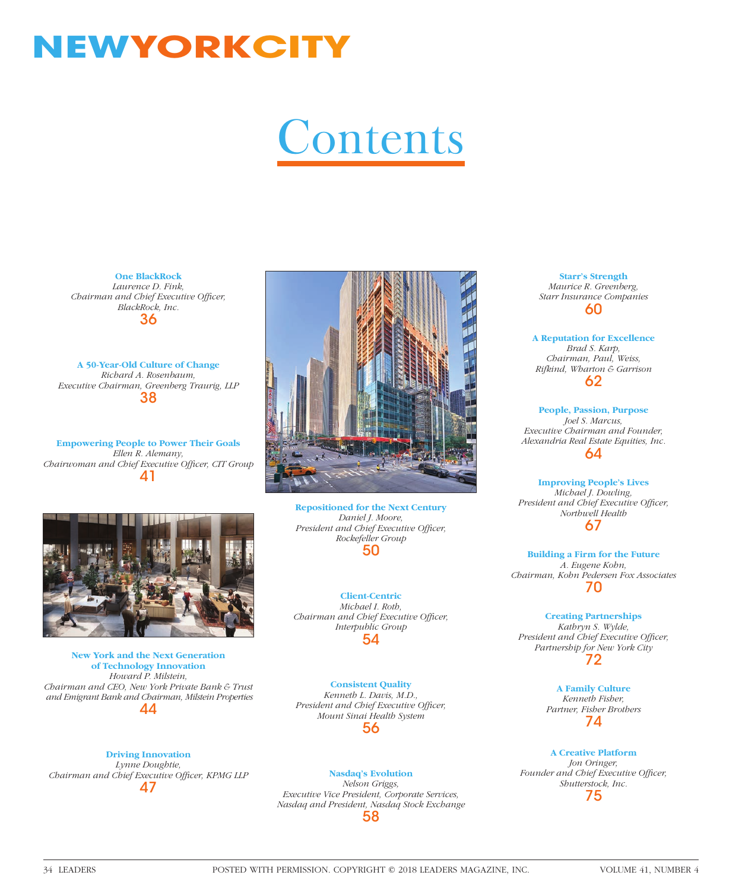## **NEWYORKCITY**

## **Contents**

**One BlackRock** *Laurence D. Fink, Chairman and Chief Executive Officer, BlackRock, Inc.* 36

**A 50-Year-Old Culture of Change** *Richard A. Rosenbaum, Executive Chairman, Greenberg Traurig, LLP* 38

**Empowering People to Power Their Goals** *Ellen R. Alemany,*  Chairwoman and Chief Executive Officer, CIT Group 41



**Repositioned for the Next Century**  *Daniel J. Moore, President and Chief Executive Officer, Rockefeller Group* 50

**Client-Centric** *Michael I. Roth, Chairman and Chief Executive Officer, Interpublic Group* 54

**Consistent Quality** *Kenneth L. Davis, M.D.,*  President and Chief Executive Officer, *Mount Sinai Health System* 56

**Driving Innovation** *Lynne Doughtie, Chairman and Chief Executive Officer, KPMG LLP* 47

**New York and the Next Generation of Technology Innovation** *Howard P. Milstein, Chairman and CEO, New York Private Bank & Trust and Emigrant Bank and Chairman, Milstein Properties* 44

> **Nasdaq's Evolution** *Nelson Griggs, Executive Vice President, Corporate Services, Nasdaq and President, Nasdaq Stock Exchange*

> > 58

**Starr's Strength** *Maurice R. Greenberg, Starr Insurance Companies* 60

**A Reputation for Excellence** *Brad S. Karp, Chairman, Paul, Weiss, Rifkind, Wharton & Garrison* 62

**People, Passion, Purpose** *Joel S. Marcus, Executive Chairman and Founder, Alexandria Real Estate Equities, Inc.* 64

**Improving People's Lives** *Michael J. Dowling, President and Chief Executive Officer, Northwell Health* 67

**Building a Firm for the Future** *A. Eugene Kohn, Chairman, Kohn Pedersen Fox Associates* 70

**Creating Partnerships** *Kathryn S. Wylde, President and Chief Executive Officer, Partnership for New York City* 72

> **A Family Culture**  *Kenneth Fisher, Partner, Fisher Brothers* 74

**A Creative Platform** *Jon Oringer,*  Founder and Chief Executive Officer, *Shutterstock, Inc.* 75